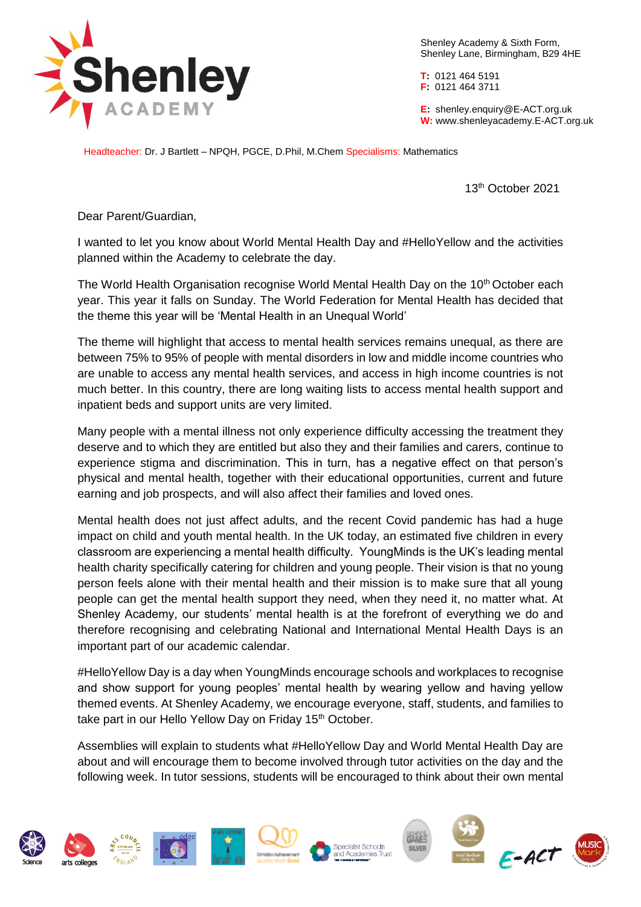

Shenley Academy & Sixth Form, Shenley Lane, Birmingham, B29 4HE

**T:** 0121 464 5191 **F:** 0121 464 3711

**E:** shenley[.enquiry@E-ACT.org.uk](mailto:enquiry@E-ACT.org.uk) **W:** www.shenleyacademy.E-ACT.org.uk

Headteacher: Dr. J Bartlett – NPQH, PGCE, D.Phil, M.Chem Specialisms: Mathematics

13th October 2021

Dear Parent/Guardian,

I wanted to let you know about World Mental Health Day and #HelloYellow and the activities planned within the Academy to celebrate the day.

The World Health Organisation recognise World Mental Health Day on the  $10<sup>th</sup>$  October each year. This year it falls on Sunday. The World Federation for Mental Health has decided that the theme this year will be 'Mental Health in an Unequal World'

The theme will highlight that access to mental health services remains unequal, as there are between 75% to 95% of people with mental disorders in low and middle income countries who are unable to access any mental health services, and access in high income countries is not much better. In this country, there are long waiting lists to access mental health support and inpatient beds and support units are very limited.

Many people with a mental illness not only experience difficulty accessing the treatment they deserve and to which they are entitled but also they and their families and carers, continue to experience stigma and discrimination. This in turn, has a negative effect on that person's physical and mental health, together with their educational opportunities, current and future earning and job prospects, and will also affect their families and loved ones.

Mental health does not just affect adults, and the recent Covid pandemic has had a huge impact on child and youth mental health. In the UK today, an estimated five children in every classroom are experiencing a mental health difficulty. YoungMinds is the UK's leading mental health charity specifically catering for children and young people. Their vision is that no young person feels alone with their mental health and their mission is to make sure that all young people can get the mental health support they need, when they need it, no matter what. At Shenley Academy, our students' mental health is at the forefront of everything we do and therefore recognising and celebrating National and International Mental Health Days is an important part of our academic calendar.

#HelloYellow Day is a day when YoungMinds encourage schools and workplaces to recognise and show support for young peoples' mental health by wearing yellow and having yellow themed events. At Shenley Academy, we encourage everyone, staff, students, and families to take part in our Hello Yellow Day on Friday 15<sup>th</sup> October.

Assemblies will explain to students what #HelloYellow Day and World Mental Health Day are about and will encourage them to become involved through tutor activities on the day and the following week. In tutor sessions, students will be encouraged to think about their own mental